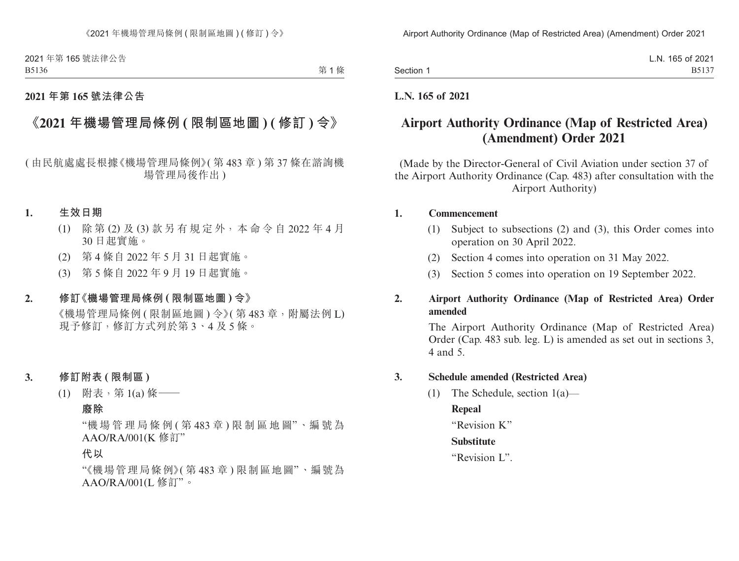|           | L.N. 165 of 2021 |
|-----------|------------------|
| Section 1 | B5137            |

## **L.N. 165 of 2021**

# **Airport Authority Ordinance (Map of Restricted Area) (Amendment) Order 2021**

(Made by the Director-General of Civil Aviation under section 37 of the Airport Authority Ordinance (Cap. 483) after consultation with the Airport Authority)

#### **1. Commencement**

- (1) Subject to subsections (2) and (3), this Order comes into operation on 30 April 2022.
- (2) Section 4 comes into operation on 31 May 2022.
- (3) Section 5 comes into operation on 19 September 2022.

## **2. Airport Authority Ordinance (Map of Restricted Area) Order amended**

The Airport Authority Ordinance (Map of Restricted Area) Order (Cap. 483 sub. leg. L) is amended as set out in sections 3, 4 and 5.

#### **3. Schedule amended (Restricted Area)**

(1) The Schedule, section 1(a)—

## **Repeal**

"Revision K"

## **Substitute**

"Revision L".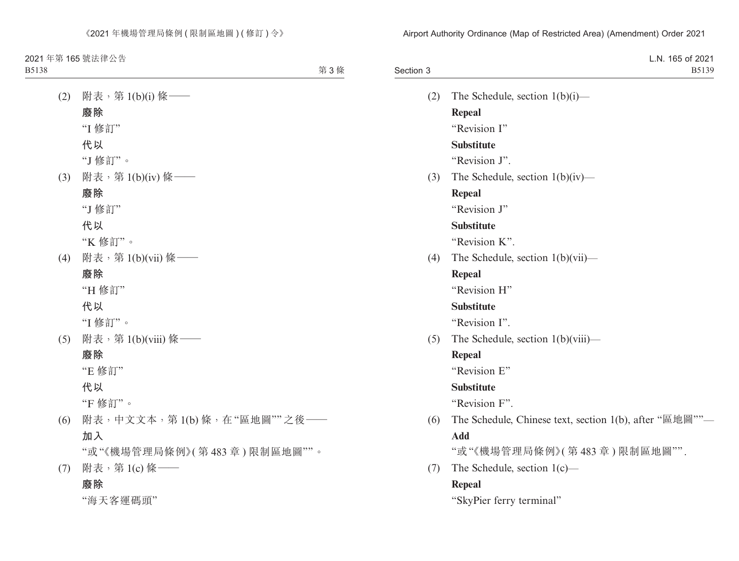| Section 3 | L.N. 165 of 2021<br>B5139                                                         |
|-----------|-----------------------------------------------------------------------------------|
| (2)       | The Schedule, section $1(b)(i)$ —                                                 |
|           | <b>Repeal</b>                                                                     |
|           | "Revision I"                                                                      |
|           | <b>Substitute</b>                                                                 |
|           | "Revision J".                                                                     |
| (3)       | The Schedule, section $1(b)(iv)$ —                                                |
|           | <b>Repeal</b>                                                                     |
|           | "Revision J"                                                                      |
|           | <b>Substitute</b>                                                                 |
|           | "Revision K".                                                                     |
| (4)       | The Schedule, section $1(b)(vii)$ —                                               |
|           | <b>Repeal</b>                                                                     |
|           | "Revision H"                                                                      |
|           | <b>Substitute</b>                                                                 |
|           | "Revision I".                                                                     |
| (5)       | The Schedule, section $1(b)(viii)$ —                                              |
|           | <b>Repeal</b>                                                                     |
|           | "Revision E"                                                                      |
|           | <b>Substitute</b>                                                                 |
|           | "Revision F".                                                                     |
| (6)       | The Schedule, Chinese text, section 1(b), after " $\mathbb{E}$ the $\mathbb{E}$ " |
|           | <b>Add</b>                                                                        |
|           | "或"《機場管理局條例》(第483章)限制區地圖"".                                                       |
| (7)       | The Schedule, section $1(c)$ —                                                    |
|           | <b>Repeal</b>                                                                     |
|           | "SkyPier ferry terminal"                                                          |
|           |                                                                                   |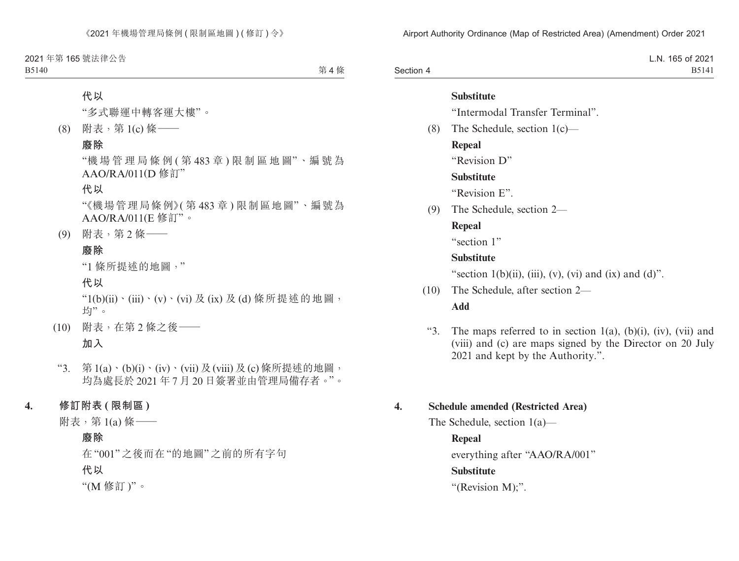|           | L.N. 165 of 2021 |
|-----------|------------------|
| Section 4 | B5141            |

|      | Substitute                                                |
|------|-----------------------------------------------------------|
|      | "Intermodal Transfer Terminal".                           |
| (8)  | The Schedule, section $1(c)$ —                            |
|      | Repeal                                                    |
|      | "Revision D"                                              |
|      | <b>Substitute</b>                                         |
|      | "Revision E".                                             |
| (9)  | The Schedule, section 2—                                  |
|      | Repeal                                                    |
|      | "section 1"                                               |
|      | <b>Substitute</b>                                         |
|      | "section $1(b)(ii)$ , (iii), (v), (vi) and (ix) and (d)". |
| (10) | The Schedule, after section 2—                            |
|      | Add                                                       |

"3. The maps referred to in section  $1(a)$ ,  $(b)(i)$ ,  $(iv)$ ,  $(vii)$  and (viii) and (c) are maps signed by the Director on 20 July 2021 and kept by the Authority.".

### **4. Schedule amended (Restricted Area)**

The Schedule, section 1(a)—

**Repeal** everything after "AAO/RA/001" **Substitute** "(Revision M);".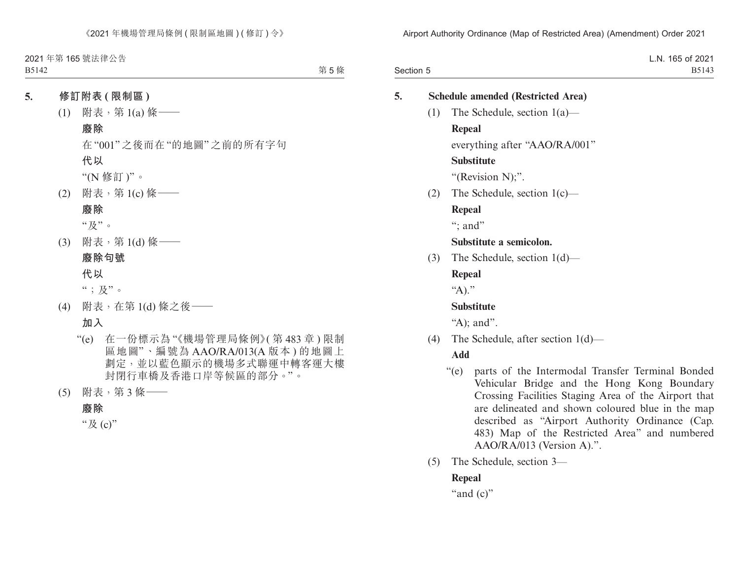|           | L.N. 165 of 2021 |
|-----------|------------------|
| Section 5 | B5143            |

| 5.<br><b>Schedule amended (Restricted Area)</b>                               |     |                                                                                                                                                                                                                                                                                                                                                               |  |
|-------------------------------------------------------------------------------|-----|---------------------------------------------------------------------------------------------------------------------------------------------------------------------------------------------------------------------------------------------------------------------------------------------------------------------------------------------------------------|--|
|                                                                               | (1) | The Schedule, section $1(a)$ —                                                                                                                                                                                                                                                                                                                                |  |
|                                                                               |     | <b>Repeal</b>                                                                                                                                                                                                                                                                                                                                                 |  |
|                                                                               |     | everything after "AAO/RA/001"                                                                                                                                                                                                                                                                                                                                 |  |
|                                                                               |     | <b>Substitute</b>                                                                                                                                                                                                                                                                                                                                             |  |
|                                                                               |     | "(Revision N);".                                                                                                                                                                                                                                                                                                                                              |  |
|                                                                               | (2) | The Schedule, section $1(c)$ —                                                                                                                                                                                                                                                                                                                                |  |
|                                                                               |     | Repeal                                                                                                                                                                                                                                                                                                                                                        |  |
|                                                                               |     | ": and"                                                                                                                                                                                                                                                                                                                                                       |  |
|                                                                               |     | Substitute a semicolon.                                                                                                                                                                                                                                                                                                                                       |  |
| The Schedule, section $1(d)$ —<br>(3)<br>Repeal<br>"A)."<br><b>Substitute</b> |     |                                                                                                                                                                                                                                                                                                                                                               |  |
|                                                                               |     |                                                                                                                                                                                                                                                                                                                                                               |  |
|                                                                               |     |                                                                                                                                                                                                                                                                                                                                                               |  |
|                                                                               |     |                                                                                                                                                                                                                                                                                                                                                               |  |
|                                                                               |     | "A); and".                                                                                                                                                                                                                                                                                                                                                    |  |
| (4)                                                                           |     | The Schedule, after section $1(d)$ —                                                                                                                                                                                                                                                                                                                          |  |
|                                                                               |     | Add                                                                                                                                                                                                                                                                                                                                                           |  |
|                                                                               |     | $\lq\lq (e)$<br>parts of the Intermodal Transfer Terminal Bonded<br>Vehicular Bridge and the Hong Kong Boundary<br>Crossing Facilities Staging Area of the Airport that<br>are delineated and shown coloured blue in the map<br>described as "Airport Authority Ordinance (Cap.<br>483) Map of the Restricted Area" and numbered<br>AAO/RA/013 (Version A).". |  |

(5) The Schedule, section 3—

## **Repeal**

"and (c)"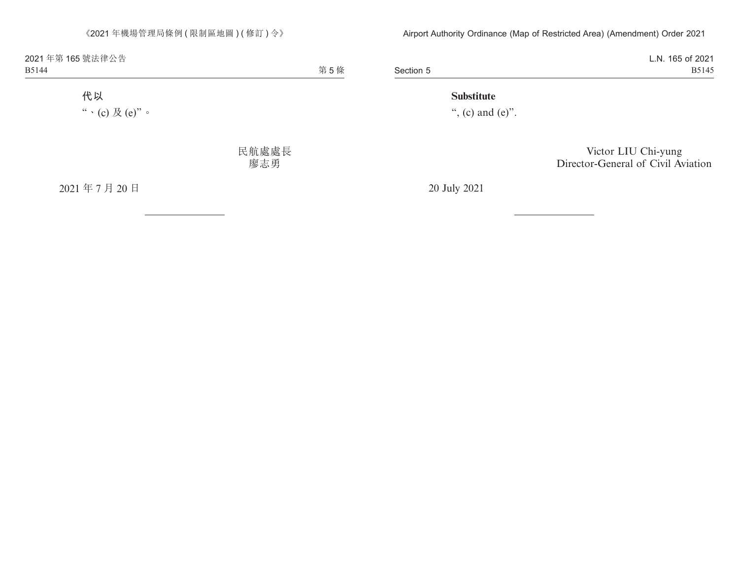Section 5 L.N. 165 of 2021 B5145

### **Substitute**

", (c) and  $(e)$ ".

Victor LIU Chi-yung Director-General of Civil Aviation

20 July 2021